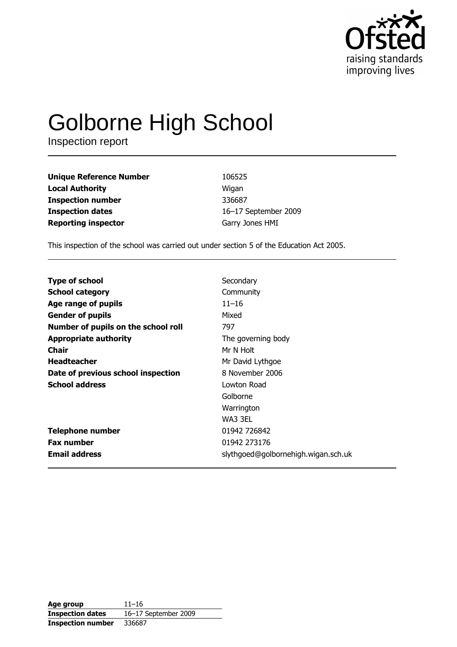

# **Golborne High School**

Inspection report

| <b>Unique Reference Number</b> | 106525               |
|--------------------------------|----------------------|
| <b>Local Authority</b>         | Wigan                |
| <b>Inspection number</b>       | 336687               |
| <b>Inspection dates</b>        | 16-17 September 2009 |
| <b>Reporting inspector</b>     | Garry Jones HMI      |

This inspection of the school was carried out under section 5 of the Education Act 2005.

| <b>Type of school</b>               | Secondary                           |
|-------------------------------------|-------------------------------------|
| <b>School category</b>              | Community                           |
| Age range of pupils                 | $11 - 16$                           |
| <b>Gender of pupils</b>             | Mixed                               |
| Number of pupils on the school roll | 797                                 |
| <b>Appropriate authority</b>        | The governing body                  |
| Chair                               | Mr N Holt                           |
| <b>Headteacher</b>                  | Mr David Lythgoe                    |
| Date of previous school inspection  | 8 November 2006                     |
| <b>School address</b>               | Lowton Road                         |
|                                     | Golborne                            |
|                                     | Warrington                          |
|                                     | WA3 3EL                             |
| <b>Telephone number</b>             | 01942 726842                        |
| <b>Fax number</b>                   | 01942 273176                        |
| <b>Email address</b>                | slythgoed@golbornehigh.wigan.sch.uk |

Age group  $11 - 16$ 16-17 September 2009 **Inspection dates Inspection number** 336687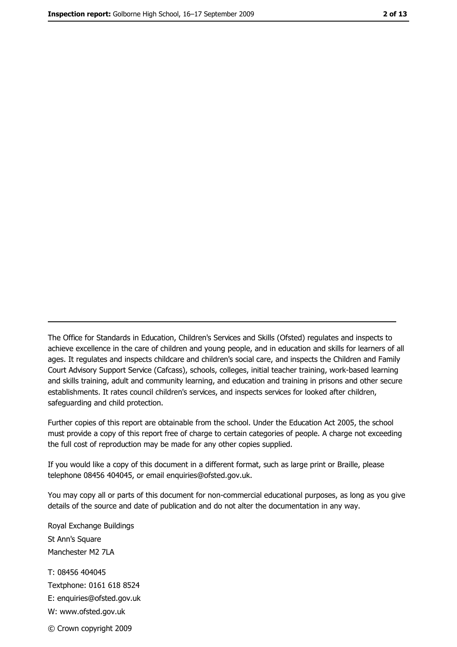The Office for Standards in Education, Children's Services and Skills (Ofsted) regulates and inspects to achieve excellence in the care of children and young people, and in education and skills for learners of all ages. It regulates and inspects childcare and children's social care, and inspects the Children and Family Court Advisory Support Service (Cafcass), schools, colleges, initial teacher training, work-based learning and skills training, adult and community learning, and education and training in prisons and other secure establishments. It rates council children's services, and inspects services for looked after children, safequarding and child protection.

Further copies of this report are obtainable from the school. Under the Education Act 2005, the school must provide a copy of this report free of charge to certain categories of people. A charge not exceeding the full cost of reproduction may be made for any other copies supplied.

If you would like a copy of this document in a different format, such as large print or Braille, please telephone 08456 404045, or email enquiries@ofsted.gov.uk.

You may copy all or parts of this document for non-commercial educational purposes, as long as you give details of the source and date of publication and do not alter the documentation in any way.

Royal Exchange Buildings St Ann's Square Manchester M2 7LA T: 08456 404045 Textphone: 0161 618 8524 E: enquiries@ofsted.gov.uk W: www.ofsted.gov.uk © Crown copyright 2009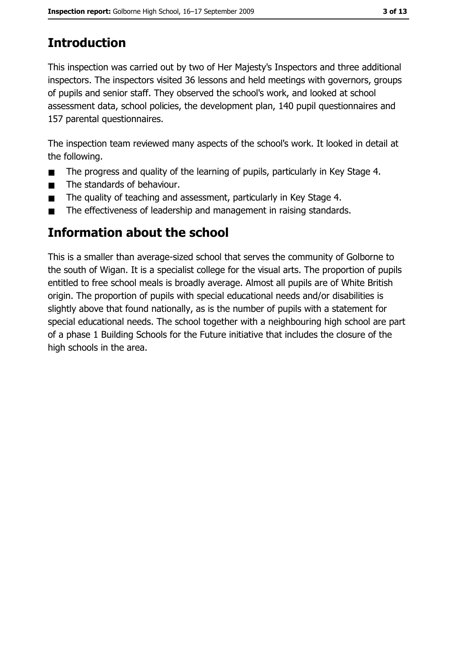# **Introduction**

This inspection was carried out by two of Her Majesty's Inspectors and three additional inspectors. The inspectors visited 36 lessons and held meetings with governors, groups of pupils and senior staff. They observed the school's work, and looked at school assessment data, school policies, the development plan, 140 pupil questionnaires and 157 parental questionnaires.

The inspection team reviewed many aspects of the school's work. It looked in detail at the following.

- The progress and quality of the learning of pupils, particularly in Key Stage 4.  $\blacksquare$
- The standards of behaviour.  $\blacksquare$
- The quality of teaching and assessment, particularly in Key Stage 4.  $\blacksquare$
- The effectiveness of leadership and management in raising standards.  $\blacksquare$

# Information about the school

This is a smaller than average-sized school that serves the community of Golborne to the south of Wigan. It is a specialist college for the visual arts. The proportion of pupils entitled to free school meals is broadly average. Almost all pupils are of White British origin. The proportion of pupils with special educational needs and/or disabilities is slightly above that found nationally, as is the number of pupils with a statement for special educational needs. The school together with a neighbouring high school are part of a phase 1 Building Schools for the Future initiative that includes the closure of the high schools in the area.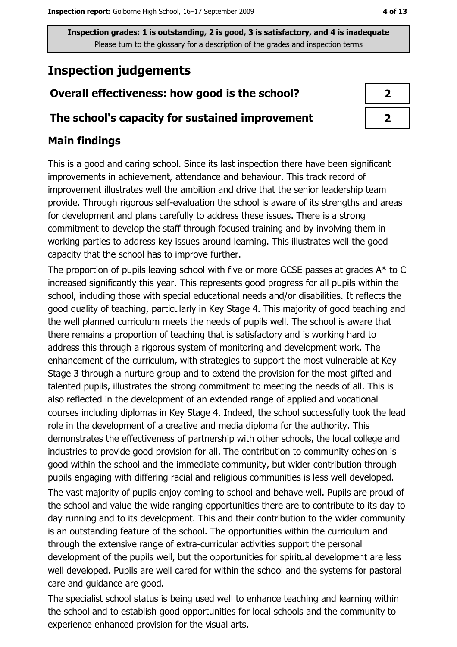# **Inspection judgements**

# Overall effectiveness: how good is the school?

## The school's capacity for sustained improvement

# **Main findings**

This is a good and caring school. Since its last inspection there have been significant improvements in achievement, attendance and behaviour. This track record of improvement illustrates well the ambition and drive that the senior leadership team provide. Through rigorous self-evaluation the school is aware of its strengths and areas for development and plans carefully to address these issues. There is a strong commitment to develop the staff through focused training and by involving them in working parties to address key issues around learning. This illustrates well the good capacity that the school has to improve further.

The proportion of pupils leaving school with five or more GCSE passes at grades  $A^*$  to C increased significantly this year. This represents good progress for all pupils within the school, including those with special educational needs and/or disabilities. It reflects the good quality of teaching, particularly in Key Stage 4. This majority of good teaching and the well planned curriculum meets the needs of pupils well. The school is aware that there remains a proportion of teaching that is satisfactory and is working hard to address this through a rigorous system of monitoring and development work. The enhancement of the curriculum, with strategies to support the most vulnerable at Key Stage 3 through a nurture group and to extend the provision for the most gifted and talented pupils, illustrates the strong commitment to meeting the needs of all. This is also reflected in the development of an extended range of applied and vocational courses including diplomas in Key Stage 4. Indeed, the school successfully took the lead role in the development of a creative and media diploma for the authority. This demonstrates the effectiveness of partnership with other schools, the local college and industries to provide good provision for all. The contribution to community cohesion is good within the school and the immediate community, but wider contribution through pupils engaging with differing racial and religious communities is less well developed.

The vast majority of pupils enjoy coming to school and behave well. Pupils are proud of the school and value the wide ranging opportunities there are to contribute to its day to day running and to its development. This and their contribution to the wider community is an outstanding feature of the school. The opportunities within the curriculum and through the extensive range of extra-curricular activities support the personal development of the pupils well, but the opportunities for spiritual development are less well developed. Pupils are well cared for within the school and the systems for pastoral care and quidance are good.

The specialist school status is being used well to enhance teaching and learning within the school and to establish good opportunities for local schools and the community to experience enhanced provision for the visual arts.

 $\overline{2}$ 

 $\overline{2}$ 

4 of 13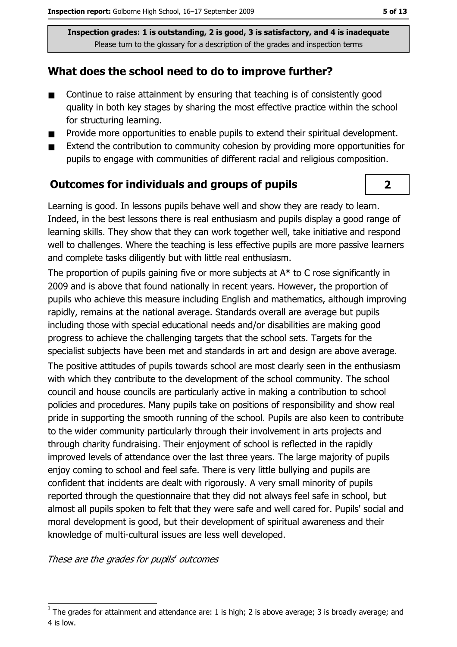## What does the school need to do to improve further?

- $\blacksquare$ Continue to raise attainment by ensuring that teaching is of consistently good quality in both key stages by sharing the most effective practice within the school for structuring learning.
- Provide more opportunities to enable pupils to extend their spiritual development.  $\blacksquare$
- Extend the contribution to community cohesion by providing more opportunities for  $\blacksquare$ pupils to engage with communities of different racial and religious composition.

## **Outcomes for individuals and groups of pupils**

Learning is good. In lessons pupils behave well and show they are ready to learn. Indeed, in the best lessons there is real enthusiasm and pupils display a good range of learning skills. They show that they can work together well, take initiative and respond well to challenges. Where the teaching is less effective pupils are more passive learners and complete tasks diligently but with little real enthusiasm.

The proportion of pupils gaining five or more subjects at  $A^*$  to C rose significantly in 2009 and is above that found nationally in recent years. However, the proportion of pupils who achieve this measure including English and mathematics, although improving rapidly, remains at the national average. Standards overall are average but pupils including those with special educational needs and/or disabilities are making good progress to achieve the challenging targets that the school sets. Targets for the specialist subjects have been met and standards in art and design are above average. The positive attitudes of pupils towards school are most clearly seen in the enthusiasm with which they contribute to the development of the school community. The school council and house councils are particularly active in making a contribution to school policies and procedures. Many pupils take on positions of responsibility and show real pride in supporting the smooth running of the school. Pupils are also keen to contribute to the wider community particularly through their involvement in arts projects and through charity fundraising. Their enjoyment of school is reflected in the rapidly improved levels of attendance over the last three years. The large majority of pupils enjoy coming to school and feel safe. There is very little bullying and pupils are confident that incidents are dealt with rigorously. A very small minority of pupils reported through the questionnaire that they did not always feel safe in school, but almost all pupils spoken to felt that they were safe and well cared for. Pupils' social and moral development is good, but their development of spiritual awareness and their knowledge of multi-cultural issues are less well developed.

These are the grades for pupils' outcomes

 $\overline{\mathbf{2}}$ 

The grades for attainment and attendance are: 1 is high; 2 is above average; 3 is broadly average; and 4 is low.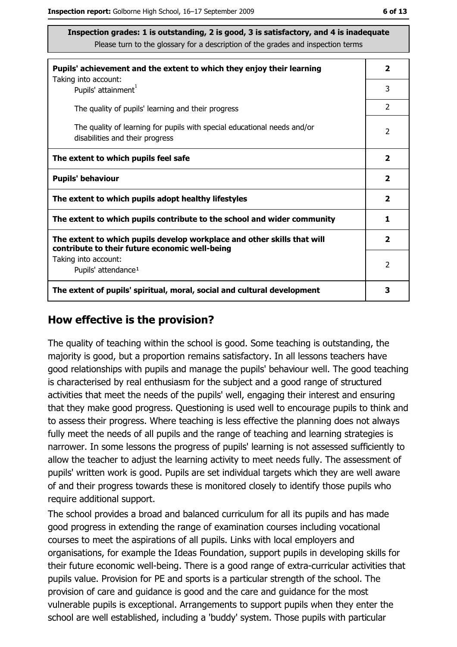| Pupils' achievement and the extent to which they enjoy their learning                                                     |                |  |
|---------------------------------------------------------------------------------------------------------------------------|----------------|--|
| Taking into account:<br>Pupils' attainment <sup>1</sup>                                                                   | 3              |  |
| The quality of pupils' learning and their progress                                                                        | $\overline{2}$ |  |
| The quality of learning for pupils with special educational needs and/or<br>disabilities and their progress               |                |  |
| The extent to which pupils feel safe                                                                                      |                |  |
| <b>Pupils' behaviour</b>                                                                                                  |                |  |
| The extent to which pupils adopt healthy lifestyles                                                                       |                |  |
| The extent to which pupils contribute to the school and wider community                                                   |                |  |
| The extent to which pupils develop workplace and other skills that will<br>contribute to their future economic well-being |                |  |
| Taking into account:                                                                                                      | $\mathcal{P}$  |  |
| Pupils' attendance <sup>1</sup>                                                                                           |                |  |
| The extent of pupils' spiritual, moral, social and cultural development                                                   |                |  |

#### How effective is the provision?

The quality of teaching within the school is good. Some teaching is outstanding, the majority is good, but a proportion remains satisfactory. In all lessons teachers have good relationships with pupils and manage the pupils' behaviour well. The good teaching is characterised by real enthusiasm for the subject and a good range of structured activities that meet the needs of the pupils' well, engaging their interest and ensuring that they make good progress. Questioning is used well to encourage pupils to think and to assess their progress. Where teaching is less effective the planning does not always fully meet the needs of all pupils and the range of teaching and learning strategies is narrower. In some lessons the progress of pupils' learning is not assessed sufficiently to allow the teacher to adjust the learning activity to meet needs fully. The assessment of pupils' written work is good. Pupils are set individual targets which they are well aware of and their progress towards these is monitored closely to identify those pupils who require additional support.

The school provides a broad and balanced curriculum for all its pupils and has made good progress in extending the range of examination courses including vocational courses to meet the aspirations of all pupils. Links with local employers and organisations, for example the Ideas Foundation, support pupils in developing skills for their future economic well-being. There is a good range of extra-curricular activities that pupils value. Provision for PE and sports is a particular strength of the school. The provision of care and guidance is good and the care and guidance for the most vulnerable pupils is exceptional. Arrangements to support pupils when they enter the school are well established, including a 'buddy' system. Those pupils with particular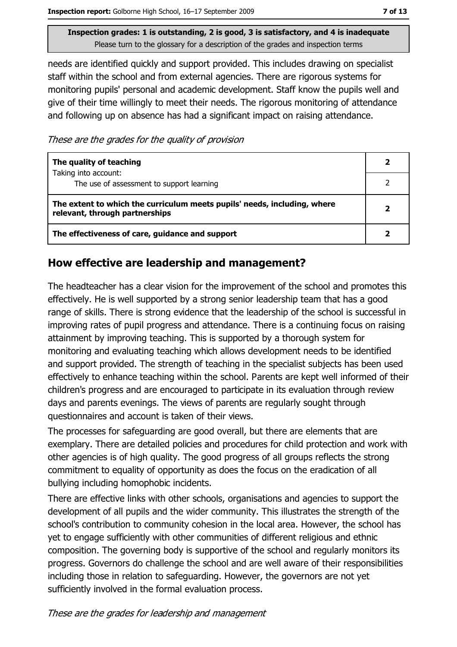needs are identified quickly and support provided. This includes drawing on specialist staff within the school and from external agencies. There are rigorous systems for monitoring pupils' personal and academic development. Staff know the pupils well and give of their time willingly to meet their needs. The rigorous monitoring of attendance and following up on absence has had a significant impact on raising attendance.

These are the grades for the quality of provision

| The quality of teaching                                                                                    |  |
|------------------------------------------------------------------------------------------------------------|--|
| Taking into account:<br>The use of assessment to support learning                                          |  |
| The extent to which the curriculum meets pupils' needs, including, where<br>relevant, through partnerships |  |
| The effectiveness of care, guidance and support                                                            |  |

# How effective are leadership and management?

The headteacher has a clear vision for the improvement of the school and promotes this effectively. He is well supported by a strong senior leadership team that has a good range of skills. There is strong evidence that the leadership of the school is successful in improving rates of pupil progress and attendance. There is a continuing focus on raising attainment by improving teaching. This is supported by a thorough system for monitoring and evaluating teaching which allows development needs to be identified and support provided. The strength of teaching in the specialist subjects has been used effectively to enhance teaching within the school. Parents are kept well informed of their children's progress and are encouraged to participate in its evaluation through review days and parents evenings. The views of parents are regularly sought through questionnaires and account is taken of their views.

The processes for safeguarding are good overall, but there are elements that are exemplary. There are detailed policies and procedures for child protection and work with other agencies is of high quality. The good progress of all groups reflects the strong commitment to equality of opportunity as does the focus on the eradication of all bullying including homophobic incidents.

There are effective links with other schools, organisations and agencies to support the development of all pupils and the wider community. This illustrates the strength of the school's contribution to community cohesion in the local area. However, the school has yet to engage sufficiently with other communities of different religious and ethnic composition. The governing body is supportive of the school and regularly monitors its progress. Governors do challenge the school and are well aware of their responsibilities including those in relation to safeguarding. However, the governors are not yet sufficiently involved in the formal evaluation process.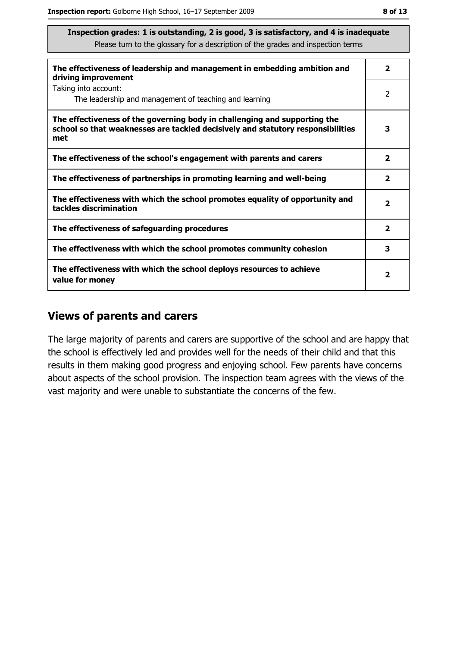| The effectiveness of leadership and management in embedding ambition and<br>driving improvement                                                                     |                         |  |
|---------------------------------------------------------------------------------------------------------------------------------------------------------------------|-------------------------|--|
| Taking into account:<br>The leadership and management of teaching and learning                                                                                      | 2                       |  |
| The effectiveness of the governing body in challenging and supporting the<br>school so that weaknesses are tackled decisively and statutory responsibilities<br>met | 3                       |  |
| The effectiveness of the school's engagement with parents and carers                                                                                                | $\overline{\mathbf{2}}$ |  |
| The effectiveness of partnerships in promoting learning and well-being                                                                                              |                         |  |
| The effectiveness with which the school promotes equality of opportunity and<br>tackles discrimination                                                              |                         |  |
| The effectiveness of safeguarding procedures                                                                                                                        |                         |  |
| The effectiveness with which the school promotes community cohesion                                                                                                 |                         |  |
| The effectiveness with which the school deploys resources to achieve<br>value for money                                                                             |                         |  |

## **Views of parents and carers**

The large majority of parents and carers are supportive of the school and are happy that the school is effectively led and provides well for the needs of their child and that this results in them making good progress and enjoying school. Few parents have concerns about aspects of the school provision. The inspection team agrees with the views of the vast majority and were unable to substantiate the concerns of the few.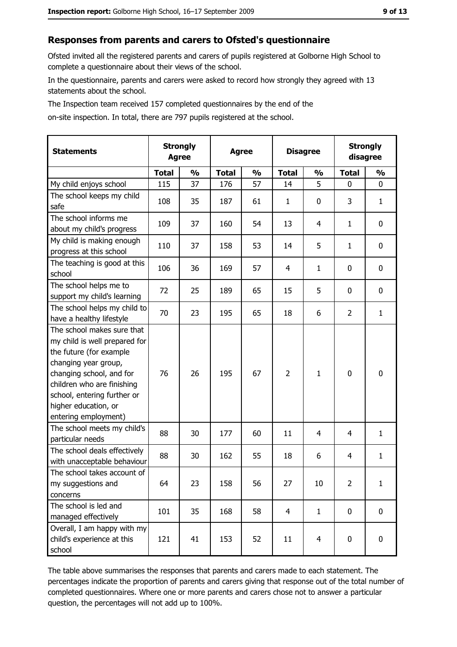# Responses from parents and carers to Ofsted's questionnaire

Ofsted invited all the registered parents and carers of pupils registered at Golborne High School to complete a questionnaire about their views of the school.

In the questionnaire, parents and carers were asked to record how strongly they agreed with 13 statements about the school.

The Inspection team received 157 completed questionnaires by the end of the

on-site inspection. In total, there are 797 pupils registered at the school.

| <b>Statements</b>                                                                                                                                                                                                                                       | <b>Strongly</b><br><b>Agree</b> |               | <b>Agree</b> |               | <b>Disagree</b> |                | <b>Strongly</b><br>disagree |               |
|---------------------------------------------------------------------------------------------------------------------------------------------------------------------------------------------------------------------------------------------------------|---------------------------------|---------------|--------------|---------------|-----------------|----------------|-----------------------------|---------------|
|                                                                                                                                                                                                                                                         | <b>Total</b>                    | $\frac{0}{0}$ | <b>Total</b> | $\frac{0}{0}$ | <b>Total</b>    | $\frac{1}{2}$  | <b>Total</b>                | $\frac{1}{2}$ |
| My child enjoys school                                                                                                                                                                                                                                  | 115                             | 37            | 176          | 57            | 14              | 5              | 0                           | $\mathbf{0}$  |
| The school keeps my child<br>safe                                                                                                                                                                                                                       | 108                             | 35            | 187          | 61            | $\mathbf{1}$    | 0              | 3                           | $\mathbf{1}$  |
| The school informs me<br>about my child's progress                                                                                                                                                                                                      | 109                             | 37            | 160          | 54            | 13              | 4              | 1                           | 0             |
| My child is making enough<br>progress at this school                                                                                                                                                                                                    | 110                             | 37            | 158          | 53            | 14              | 5              | 1                           | 0             |
| The teaching is good at this<br>school                                                                                                                                                                                                                  | 106                             | 36            | 169          | 57            | 4               | $\mathbf{1}$   | 0                           | 0             |
| The school helps me to<br>support my child's learning                                                                                                                                                                                                   | 72                              | 25            | 189          | 65            | 15              | 5              | 0                           | $\mathbf 0$   |
| The school helps my child to<br>have a healthy lifestyle                                                                                                                                                                                                | 70                              | 23            | 195          | 65            | 18              | 6              | $\overline{2}$              | $\mathbf{1}$  |
| The school makes sure that<br>my child is well prepared for<br>the future (for example<br>changing year group,<br>changing school, and for<br>children who are finishing<br>school, entering further or<br>higher education, or<br>entering employment) | 76                              | 26            | 195          | 67            | $\overline{2}$  | 1              | $\mathbf 0$                 | $\mathbf 0$   |
| The school meets my child's<br>particular needs                                                                                                                                                                                                         | 88                              | 30            | 177          | 60            | 11              | 4              | 4                           | $\mathbf{1}$  |
| The school deals effectively<br>with unacceptable behaviour                                                                                                                                                                                             | 88                              | 30            | 162          | 55            | 18              | 6              | 4                           | $\mathbf{1}$  |
| The school takes account of<br>my suggestions and<br>concerns                                                                                                                                                                                           | 64                              | 23            | 158          | 56            | 27              | 10             | $\overline{2}$              | $\mathbf{1}$  |
| The school is led and<br>managed effectively                                                                                                                                                                                                            | 101                             | 35            | 168          | 58            | $\overline{4}$  | $\mathbf{1}$   | 0                           | $\mathbf 0$   |
| Overall, I am happy with my<br>child's experience at this<br>school                                                                                                                                                                                     | 121                             | 41            | 153          | 52            | 11              | $\overline{4}$ | 0                           | $\mathbf 0$   |

The table above summarises the responses that parents and carers made to each statement. The percentages indicate the proportion of parents and carers giving that response out of the total number of completed questionnaires. Where one or more parents and carers chose not to answer a particular question, the percentages will not add up to 100%.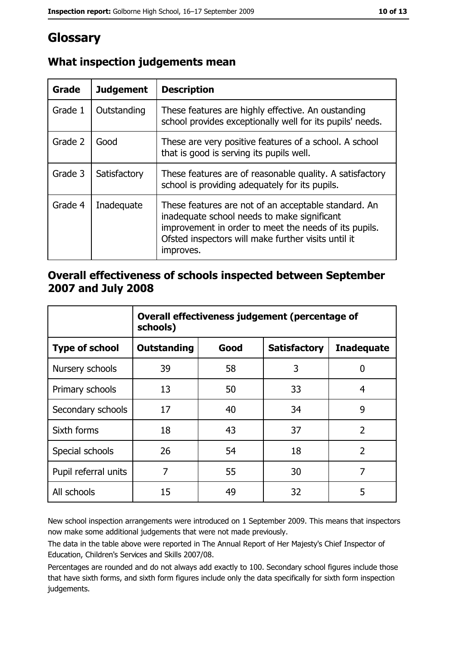# Glossary

| Grade   | <b>Judgement</b> | <b>Description</b>                                                                                                                                                                                                               |  |
|---------|------------------|----------------------------------------------------------------------------------------------------------------------------------------------------------------------------------------------------------------------------------|--|
| Grade 1 | Outstanding      | These features are highly effective. An oustanding<br>school provides exceptionally well for its pupils' needs.                                                                                                                  |  |
| Grade 2 | Good             | These are very positive features of a school. A school<br>that is good is serving its pupils well.                                                                                                                               |  |
| Grade 3 | Satisfactory     | These features are of reasonable quality. A satisfactory<br>school is providing adequately for its pupils.                                                                                                                       |  |
| Grade 4 | Inadequate       | These features are not of an acceptable standard. An<br>inadequate school needs to make significant<br>improvement in order to meet the needs of its pupils.<br>Ofsted inspectors will make further visits until it<br>improves. |  |

# What inspection judgements mean

# Overall effectiveness of schools inspected between September 2007 and July 2008

|                       | Overall effectiveness judgement (percentage of<br>schools) |      |                     |                   |
|-----------------------|------------------------------------------------------------|------|---------------------|-------------------|
| <b>Type of school</b> | <b>Outstanding</b>                                         | Good | <b>Satisfactory</b> | <b>Inadequate</b> |
| Nursery schools       | 39                                                         | 58   | 3                   | 0                 |
| Primary schools       | 13                                                         | 50   | 33                  | 4                 |
| Secondary schools     | 17                                                         | 40   | 34                  | 9                 |
| Sixth forms           | 18                                                         | 43   | 37                  | $\overline{2}$    |
| Special schools       | 26                                                         | 54   | 18                  | $\overline{2}$    |
| Pupil referral units  | 7                                                          | 55   | 30                  | 7                 |
| All schools           | 15                                                         | 49   | 32                  | 5                 |

New school inspection arrangements were introduced on 1 September 2009. This means that inspectors now make some additional judgements that were not made previously.

The data in the table above were reported in The Annual Report of Her Majesty's Chief Inspector of Education, Children's Services and Skills 2007/08.

Percentages are rounded and do not always add exactly to 100. Secondary school figures include those that have sixth forms, and sixth form figures include only the data specifically for sixth form inspection judgements.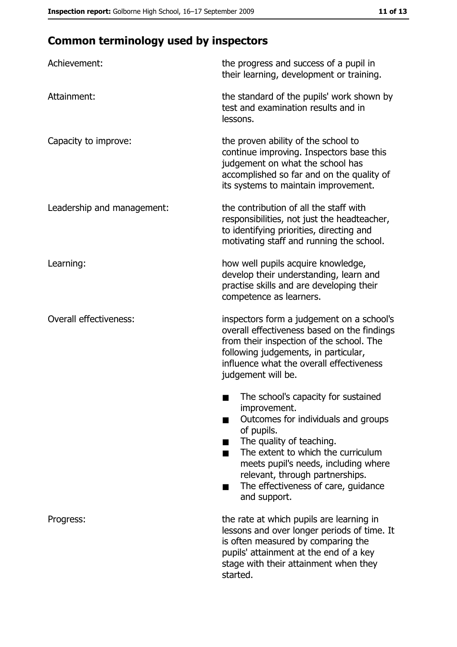# **Common terminology used by inspectors**

| Achievement:                  | the progress and success of a pupil in<br>their learning, development or training.                                                                                                                                                                                                                                |
|-------------------------------|-------------------------------------------------------------------------------------------------------------------------------------------------------------------------------------------------------------------------------------------------------------------------------------------------------------------|
| Attainment:                   | the standard of the pupils' work shown by<br>test and examination results and in<br>lessons.                                                                                                                                                                                                                      |
| Capacity to improve:          | the proven ability of the school to<br>continue improving. Inspectors base this<br>judgement on what the school has<br>accomplished so far and on the quality of<br>its systems to maintain improvement.                                                                                                          |
| Leadership and management:    | the contribution of all the staff with<br>responsibilities, not just the headteacher,<br>to identifying priorities, directing and<br>motivating staff and running the school.                                                                                                                                     |
| Learning:                     | how well pupils acquire knowledge,<br>develop their understanding, learn and<br>practise skills and are developing their<br>competence as learners.                                                                                                                                                               |
| <b>Overall effectiveness:</b> | inspectors form a judgement on a school's<br>overall effectiveness based on the findings<br>from their inspection of the school. The<br>following judgements, in particular,<br>influence what the overall effectiveness<br>judgement will be.                                                                    |
|                               | The school's capacity for sustained<br>improvement.<br>Outcomes for individuals and groups<br>of pupils.<br>The quality of teaching.<br>The extent to which the curriculum<br>meets pupil's needs, including where<br>relevant, through partnerships.<br>The effectiveness of care, guidance<br>٠<br>and support. |
| Progress:                     | the rate at which pupils are learning in<br>lessons and over longer periods of time. It<br>is often measured by comparing the<br>pupils' attainment at the end of a key<br>stage with their attainment when they<br>started.                                                                                      |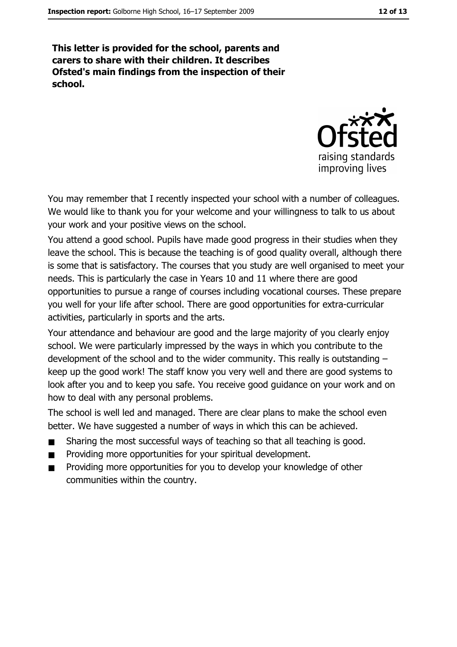This letter is provided for the school, parents and carers to share with their children. It describes Ofsted's main findings from the inspection of their school.



You may remember that I recently inspected your school with a number of colleagues. We would like to thank you for your welcome and your willingness to talk to us about your work and your positive views on the school.

You attend a good school. Pupils have made good progress in their studies when they leave the school. This is because the teaching is of good quality overall, although there is some that is satisfactory. The courses that you study are well organised to meet your needs. This is particularly the case in Years 10 and 11 where there are good opportunities to pursue a range of courses including vocational courses. These prepare you well for your life after school. There are good opportunities for extra-curricular activities, particularly in sports and the arts.

Your attendance and behaviour are good and the large majority of you clearly enjoy school. We were particularly impressed by the ways in which you contribute to the development of the school and to the wider community. This really is outstanding  $$ keep up the good work! The staff know you very well and there are good systems to look after you and to keep you safe. You receive good guidance on your work and on how to deal with any personal problems.

The school is well led and managed. There are clear plans to make the school even better. We have suggested a number of ways in which this can be achieved.

- Sharing the most successful ways of teaching so that all teaching is good.  $\blacksquare$
- Providing more opportunities for your spiritual development.  $\blacksquare$
- Providing more opportunities for you to develop your knowledge of other communities within the country.